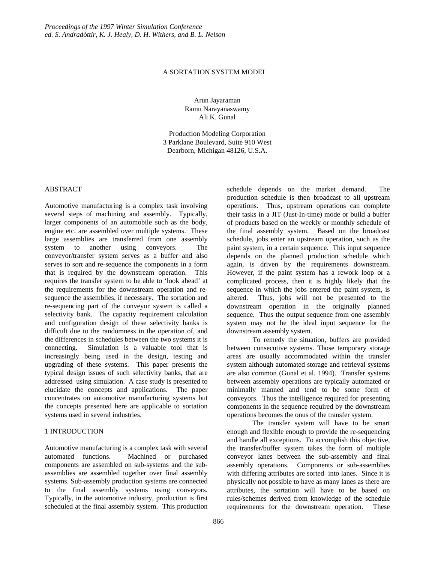#### A SORTATION SYSTEM MODEL

Arun Jayaraman Ramu Narayanaswamy Ali K. Gunal

Production Modeling Corporation 3 Parklane Boulevard, Suite 910 West Dearborn, Michigan 48126, U.S.A.

#### ABSTRACT

Automotive manufacturing is a complex task involving several steps of machining and assembly. Typically, larger components of an automobile such as the body, engine etc. are assembled over multiple systems. These large assemblies are transferred from one assembly system to another using conveyors. The conveyor/transfer system serves as a buffer and also serves to sort and re-sequence the components in a form that is required by the downstream operation. This requires the transfer system to be able to 'look ahead' at the requirements for the downstream operation and resequence the assemblies, if necessary. The sortation and re-sequencing part of the conveyor system is called a selectivity bank. The capacity requirement calculation and configuration design of these selectivity banks is difficult due to the randomness in the operation of, and the differences in schedules between the two systems it is connecting. Simulation is a valuable tool that is increasingly being used in the design, testing and upgrading of these systems. This paper presents the typical design issues of such selectivity banks, that are addressed using simulation. A case study is presented to elucidate the concepts and applications. The paper concentrates on automotive manufacturing systems but the concepts presented here are applicable to sortation systems used in several industries.

#### 1 INTRODUCTION

Automotive manufacturing is a complex task with several automated functions. Machined or purchased components are assembled on sub-systems and the subassemblies are assembled together over final assembly systems. Sub-assembly production systems are connected to the final assembly systems using conveyors. Typically, in the automotive industry, production is first scheduled at the final assembly system. This production

schedule depends on the market demand. The production schedule is then broadcast to all upstream operations. Thus, upstream operations can complete their tasks in a JIT (Just-In-time) mode or build a buffer of products based on the weekly or monthly schedule of the final assembly system. Based on the broadcast schedule, jobs enter an upstream operation, such as the paint system, in a certain sequence. This input sequence depends on the planned production schedule which again, is driven by the requirements downstream. However, if the paint system has a rework loop or a complicated process, then it is highly likely that the sequence in which the jobs entered the paint system, is altered. Thus, jobs will not be presented to the downstream operation in the originally planned sequence. Thus the output sequence from one assembly system may not be the ideal input sequence for the downstream assembly system.

To remedy the situation, buffers are provided between consecutive systems. Those temporary storage areas are usually accommodated within the transfer system although automated storage and retrieval systems are also common (Gunal et al. 1994). Transfer systems between assembly operations are typically automated or minimally manned and tend to be some form of conveyors. Thus the intelligence required for presenting components in the sequence required by the downstream operations becomes the onus of the transfer system.

The transfer system will have to be smart enough and flexible enough to provide the re-sequencing and handle all exceptions. To accomplish this objective, the transfer/buffer system takes the form of multiple conveyor lanes between the sub-assembly and final assembly operations. Components or sub-assemblies with differing attributes are sorted into lanes. Since it is physically not possible to have as many lanes as there are attributes, the sortation will have to be based on rules/schemes derived from knowledge of the schedule requirements for the downstream operation. These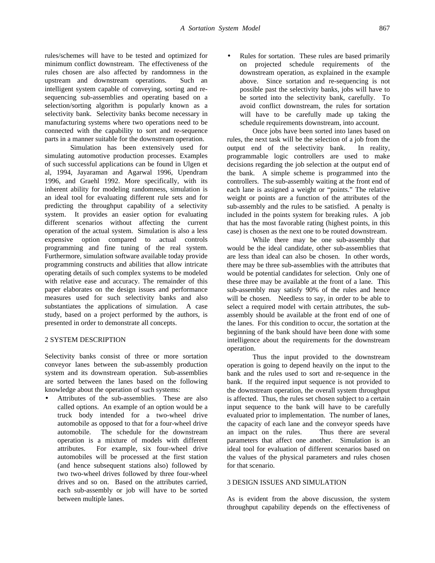rules/schemes will have to be tested and optimized for minimum conflict downstream. The effectiveness of the rules chosen are also affected by randomness in the upstream and downstream operations. Such an intelligent system capable of conveying, sorting and resequencing sub-assemblies and operating based on a selection/sorting algorithm is popularly known as a selectivity bank. Selectivity banks become necessary in manufacturing systems where two operations need to be connected with the capability to sort and re-sequence parts in a manner suitable for the downstream operation.

Simulation has been extensively used for simulating automotive production processes. Examples of such successful applications can be found in Ulgen et al, 1994, Jayaraman and Agarwal 1996, Upendram 1996, and Graehl 1992. More specifically, with its inherent ability for modeling randomness, simulation is an ideal tool for evaluating different rule sets and for predicting the throughput capability of a selectivity system. It provides an easier option for evaluating different scenarios without affecting the current operation of the actual system. Simulation is also a less expensive option compared to actual controls programming and fine tuning of the real system. Furthermore, simulation software available today provide programming constructs and abilities that allow intricate operating details of such complex systems to be modeled with relative ease and accuracy. The remainder of this paper elaborates on the design issues and performance measures used for such selectivity banks and also substantiates the applications of simulation. A case study, based on a project performed by the authors, is presented in order to demonstrate all concepts.

#### 2 SYSTEM DESCRIPTION

Selectivity banks consist of three or more sortation conveyor lanes between the sub-assembly production system and its downstream operation. Sub-assemblies are sorted between the lanes based on the following knowledge about the operation of such systems:

Attributes of the sub-assemblies. These are also called options. An example of an option would be a truck body intended for a two-wheel drive automobile as opposed to that for a four-wheel drive automobile. The schedule for the downstream operation is a mixture of models with different attributes. For example, six four-wheel drive automobiles will be processed at the first station (and hence subsequent stations also) followed by two two-wheel drives followed by three four-wheel drives and so on. Based on the attributes carried, each sub-assembly or job will have to be sorted between multiple lanes.

Rules for sortation. These rules are based primarily on projected schedule requirements of the downstream operation, as explained in the example above. Since sortation and re-sequencing is not possible past the selectivity banks, jobs will have to be sorted into the selectivity bank, carefully. To avoid conflict downstream, the rules for sortation will have to be carefully made up taking the schedule requirements downstream, into account.

Once jobs have been sorted into lanes based on rules, the next task will be the selection of a job from the output end of the selectivity bank. In reality, programmable logic controllers are used to make decisions regarding the job selection at the output end of the bank. A simple scheme is programmed into the controllers. The sub-assembly waiting at the front end of each lane is assigned a weight or "points." The relative weight or points are a function of the attributes of the sub-assembly and the rules to be satisfied. A penalty is included in the points system for breaking rules. A job that has the most favorable rating (highest points, in this case) is chosen as the next one to be routed downstream.

While there may be one sub-assembly that would be the ideal candidate, other sub-assemblies that are less than ideal can also be chosen. In other words, there may be three sub-assemblies with the attributes that would be potential candidates for selection. Only one of these three may be available at the front of a lane. This sub-assembly may satisfy 90% of the rules and hence will be chosen. Needless to say, in order to be able to select a required model with certain attributes, the subassembly should be available at the front end of one of the lanes. For this condition to occur, the sortation at the beginning of the bank should have been done with some intelligence about the requirements for the downstream operation.

Thus the input provided to the downstream operation is going to depend heavily on the input to the bank and the rules used to sort and re-sequence in the bank. If the required input sequence is not provided to the downstream operation, the overall system throughput is affected. Thus, the rules set chosen subject to a certain input sequence to the bank will have to be carefully evaluated prior to implementation. The number of lanes, the capacity of each lane and the conveyor speeds have an impact on the rules. Thus there are several parameters that affect one another. Simulation is an ideal tool for evaluation of different scenarios based on the values of the physical parameters and rules chosen for that scenario.

#### 3 DESIGN ISSUES AND SIMULATION

As is evident from the above discussion, the system throughput capability depends on the effectiveness of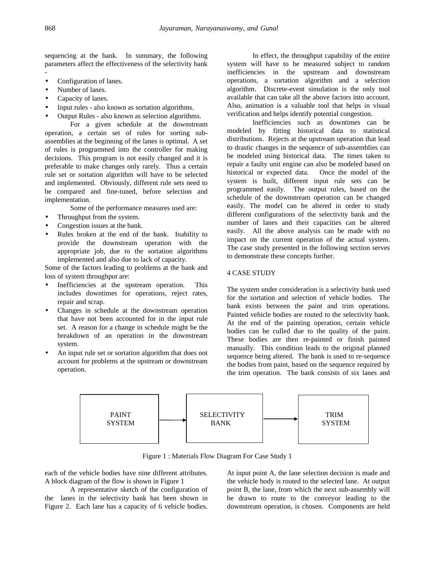sequencing at the bank. In summary, the following parameters affect the effectiveness of the selectivity bank -

- Configuration of lanes.
- Number of lanes.
- Capacity of lanes.
- Input rules also known as sortation algorithms.
- Output Rules also known as selection algorithms.

For a given schedule at the downstream operation, a certain set of rules for sorting subassemblies at the beginning of the lanes is optimal. A set of rules is programmed into the controller for making decisions. This program is not easily changed and it is preferable to make changes only rarely. Thus a certain rule set or sortation algorithm will have to be selected and implemented. Obviously, different rule sets need to be compared and fine-tuned, before selection and implementation.

Some of the performance measures used are:

- Throughput from the system.
- Congestion issues at the bank.
- Rules broken at the end of the bank. Inability to provide the downstream operation with the appropriate job, due to the sortation algorithms implemented and also due to lack of capacity.

Some of the factors leading to problems at the bank and loss of system throughput are:

- Inefficiencies at the upstream operation. This includes downtimes for operations, reject rates, repair and scrap.
- Changes in schedule at the downstream operation that have not been accounted for in the input rule set. A reason for a change in schedule might be the breakdown of an operation in the downstream system.
- An input rule set or sortation algorithm that does not account for problems at the upstream or downstream operation.

In effect, the throughput capability of the entire system will have to be measured subject to random inefficiencies in the upstream and downstream operations, a sortation algorithm and a selection algorithm. Discrete-event simulation is the only tool available that can take all the above factors into account. Also, animation is a valuable tool that helps in visual verification and helps identify potential congestion.

Inefficiencies such as downtimes can be modeled by fitting historical data to statistical distributions. Rejects at the upstream operation that lead to drastic changes in the sequence of sub-assemblies can be modeled using historical data. The times taken to repair a faulty unit engine can also be modeled based on historical or expected data. Once the model of the system is built, different input rule sets can be programmed easily. The output rules, based on the schedule of the downstream operation can be changed easily. The model can be altered in order to study different configurations of the selectivity bank and the number of lanes and their capacities can be altered easily. All the above analysis can be made with no impact on the current operation of the actual system. The case study presented in the following section serves to demonstrate these concepts further.

### 4 CASE STUDY

The system under consideration is a selectivity bank used for the sortation and selection of vehicle bodies. The bank exists between the paint and trim operations. Painted vehicle bodies are routed to the selectivity bank. At the end of the painting operation, certain vehicle bodies can be culled due to the quality of the paint. These bodies are then re-painted or finish painted manually. This condition leads to the original planned sequence being altered. The bank is used to re-sequence the bodies from paint, based on the sequence required by the trim operation. The bank consists of six lanes and



Figure 1 : Materials Flow Diagram For Case Study 1

each of the vehicle bodies have nine different attributes. A block diagram of the flow is shown in Figure 1

A representative sketch of the configuration of the lanes in the selectivity bank has been shown in Figure 2. Each lane has a capacity of 6 vehicle bodies. At input point A, the lane selection decision is made and the vehicle body is routed to the selected lane. At output point B, the lane, from which the next sub-assembly will be drawn to route to the conveyor leading to the downstream operation, is chosen. Components are held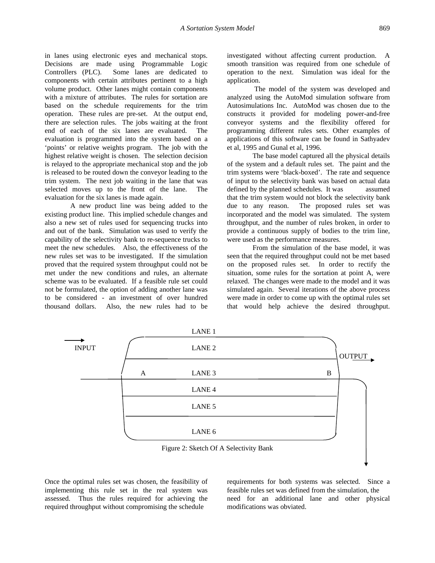in lanes using electronic eyes and mechanical stops. Decisions are made using Programmable Logic Controllers (PLC). Some lanes are dedicated to components with certain attributes pertinent to a high volume product. Other lanes might contain components with a mixture of attributes. The rules for sortation are based on the schedule requirements for the trim operation. These rules are pre-set. At the output end, there are selection rules. The jobs waiting at the front end of each of the six lanes are evaluated. The evaluation is programmed into the system based on a 'points' or relative weights program. The job with the highest relative weight is chosen. The selection decision is relayed to the appropriate mechanical stop and the job is released to be routed down the conveyor leading to the trim system. The next job waiting in the lane that was selected moves up to the front of the lane. The evaluation for the six lanes is made again.

A new product line was being added to the existing product line. This implied schedule changes and also a new set of rules used for sequencing trucks into and out of the bank. Simulation was used to verify the capability of the selectivity bank to re-sequence trucks to meet the new schedules. Also, the effectiveness of the new rules set was to be investigated. If the simulation proved that the required system throughput could not be met under the new conditions and rules, an alternate scheme was to be evaluated. If a feasible rule set could not be formulated, the option of adding another lane was to be considered - an investment of over hundred thousand dollars. Also, the new rules had to be investigated without affecting current production. A smooth transition was required from one schedule of operation to the next. Simulation was ideal for the application.

 The model of the system was developed and analyzed using the AutoMod simulation software from Autosimulations Inc. AutoMod was chosen due to the constructs it provided for modeling power-and-free conveyor systems and the flexibility offered for programming different rules sets. Other examples of applications of this software can be found in Sathyadev et al, 1995 and Gunal et al, 1996.

The base model captured all the physical details of the system and a default rules set. The paint and the trim systems were 'black-boxed'. The rate and sequence of input to the selectivity bank was based on actual data defined by the planned schedules. It was assumed that the trim system would not block the selectivity bank due to any reason. The proposed rules set was incorporated and the model was simulated. The system throughput, and the number of rules broken, in order to provide a continuous supply of bodies to the trim line, were used as the performance measures.

From the simulation of the base model, it was seen that the required throughput could not be met based on the proposed rules set. In order to rectify the situation, some rules for the sortation at point A, were relaxed. The changes were made to the model and it was simulated again. Several iterations of the above process were made in order to come up with the optimal rules set that would help achieve the desired throughput.



Once the optimal rules set was chosen, the feasibility of implementing this rule set in the real system was assessed. Thus the rules required for achieving the required throughput without compromising the schedule

requirements for both systems was selected. Since a feasible rules set was defined from the simulation, the need for an additional lane and other physical modifications was obviated.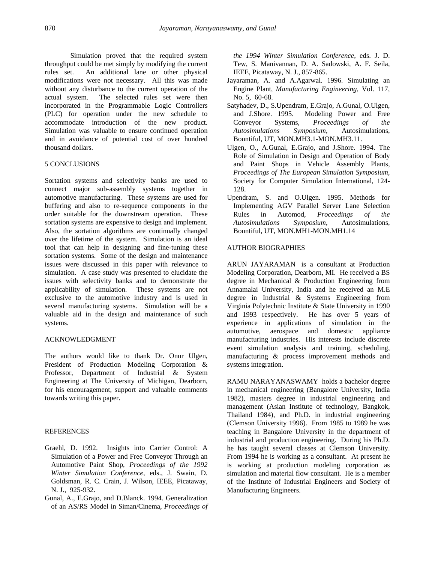Simulation proved that the required system throughput could be met simply by modifying the current rules set. An additional lane or other physical modifications were not necessary. All this was made without any disturbance to the current operation of the actual system. The selected rules set were then incorporated in the Programmable Logic Controllers (PLC) for operation under the new schedule to accommodate introduction of the new product. Simulation was valuable to ensure continued operation and in avoidance of potential cost of over hundred thousand dollars.

## 5 CONCLUSIONS

Sortation systems and selectivity banks are used to connect major sub-assembly systems together in automotive manufacturing. These systems are used for buffering and also to re-sequence components in the order suitable for the downstream operation. These sortation systems are expensive to design and implement. Also, the sortation algorithms are continually changed over the lifetime of the system. Simulation is an ideal tool that can help in designing and fine-tuning these sortation systems. Some of the design and maintenance issues were discussed in this paper with relevance to simulation. A case study was presented to elucidate the issues with selectivity banks and to demonstrate the applicability of simulation. These systems are not exclusive to the automotive industry and is used in several manufacturing systems. Simulation will be a valuable aid in the design and maintenance of such systems.

# ACKNOWLEDGMENT

The authors would like to thank Dr. Onur Ulgen, President of Production Modeling Corporation & Professor, Department of Industrial & System Engineering at The University of Michigan, Dearborn, for his encouragement, support and valuable comments towards writing this paper.

## REFERENCES

- Graehl, D. 1992. Insights into Carrier Control: A Simulation of a Power and Free Conveyor Through an Automotive Paint Shop, *Proceedings of the 1992 Winter Simulation Conference,* eds., J. Swain, D. Goldsman, R. C. Crain, J. Wilson, IEEE, Picataway, N. J., 925-932.
- Gunal, A., E.Grajo, and D.Blanck. 1994. Generalization of an AS/RS Model in Siman/Cinema, *Proceedings of*

*the 1994 Winter Simulation Conference*, eds. J. D. Tew, S. Manivannan, D. A. Sadowski, A. F. Seila, IEEE, Picataway, N. J., 857-865.

- Jayaraman, A. and A.Agarwal. 1996. Simulating an Engine Plant, *Manufacturing Engineering*, Vol. 117, No. 5, 60-68.
- Satyhadev, D., S.Upendram, E.Grajo, A.Gunal, O.Ulgen, and J.Shore. 1995. Modeling Power and Free Conveyor Systems, *Proceedings of the Autosimulations Symposium*, Autosimulations, Bountiful, UT, MON.MH3.1-MON.MH3.11.
- Ulgen, O., A.Gunal, E.Grajo, and J.Shore. 1994. The Role of Simulation in Design and Operation of Body and Paint Shops in Vehicle Assembly Plants, *Proceedings of The European Simulation Symposium*, Society for Computer Simulation International, 124- 128.
- Upendram, S. and O.Ulgen. 1995. Methods for Implementing AGV Parallel Server Lane Selection Rules in Automod, *Proceedings of the Autosimulations Symposium*, Autosimulations, Bountiful, UT, MON.MH1-MON.MH1.14

## AUTHOR BIOGRAPHIES

ARUN JAYARAMAN is a consultant at Production Modeling Corporation, Dearborn, MI. He received a BS degree in Mechanical & Production Engineering from Annamalai University, India and he received an M.E degree in Industrial & Systems Engineering from Virginia Polytechnic Institute & State University in 1990 and 1993 respectively. He has over 5 years of experience in applications of simulation in the automotive, aerospace and domestic appliance manufacturing industries. His interests include discrete event simulation analysis and training, scheduling, manufacturing & process improvement methods and systems integration.

RAMU NARAYANASWAMY holds a bachelor degree in mechanical engineering (Bangalore University, India 1982), masters degree in industrial engineering and management (Asian Institute of technology, Bangkok, Thailand 1984), and Ph.D. in industrial engineering (Clemson University 1996). From 1985 to 1989 he was teaching in Bangalore University in the department of industrial and production engineering. During his Ph.D. he has taught several classes at Clemson University. From 1994 he is working as a consultant. At present he is working at production modeling corporation as simulation and material flow consultant. He is a member of the Institute of Industrial Engineers and Society of Manufacturing Engineers.